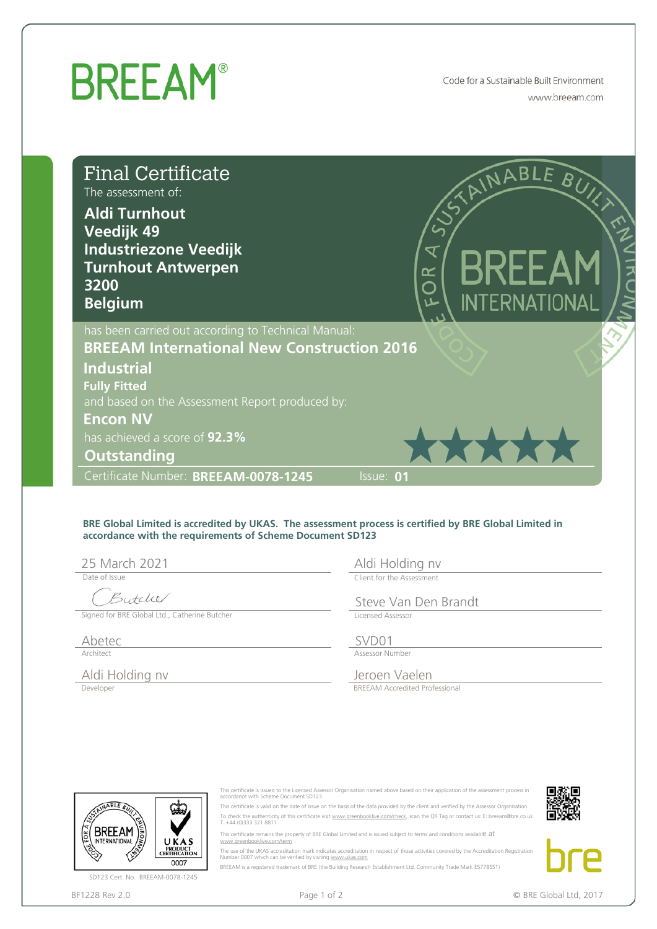## **BREEAM®**

Code for a Sustainable Built Environment www.breeam.com

| <b>Final Certificate</b><br>The assessment of:<br><b>Aldi Turnhout</b><br>Veedijk 49<br><b>Industriezone Veedijk</b><br><b>Turnhout Antwerpen</b><br>3200<br><b>Belgium</b> |                                                                                                                                                                             | RINABLE BUY<br><b>BREEAM</b><br>OR<br>O<br><b>INTERNATIONAL</b>                                                                                                                                                                                                                                                                                                                                                                                                                                                                                                                                                                                                                                                                                                                                                                             |
|-----------------------------------------------------------------------------------------------------------------------------------------------------------------------------|-----------------------------------------------------------------------------------------------------------------------------------------------------------------------------|---------------------------------------------------------------------------------------------------------------------------------------------------------------------------------------------------------------------------------------------------------------------------------------------------------------------------------------------------------------------------------------------------------------------------------------------------------------------------------------------------------------------------------------------------------------------------------------------------------------------------------------------------------------------------------------------------------------------------------------------------------------------------------------------------------------------------------------------|
| <b>Industrial</b><br><b>Fully Fitted</b><br><b>Encon NV</b><br>has achieved a score of 92.3%<br><b>Outstanding</b>                                                          | has been carried out according to Technical Manual:<br><b>BREEAM International New Construction 2016</b><br>and based on the Assessment Report produced by:                 | *****                                                                                                                                                                                                                                                                                                                                                                                                                                                                                                                                                                                                                                                                                                                                                                                                                                       |
| Certificate Number: BREEAM-0078-1245                                                                                                                                        |                                                                                                                                                                             | Issue: 01                                                                                                                                                                                                                                                                                                                                                                                                                                                                                                                                                                                                                                                                                                                                                                                                                                   |
| 25 March 2021<br>Date of Issue<br>Butcher<br>Signed for BRE Global Ltd., Catherine Butcher                                                                                  | accordance with the requirements of Scheme Document SD123                                                                                                                   | BRE Global Limited is accredited by UKAS. The assessment process is certified by BRE Global Limited in<br>Aldi Holding nv<br>Client for the Assessment<br>Steve Van Den Brandt<br>Licensed Assessor                                                                                                                                                                                                                                                                                                                                                                                                                                                                                                                                                                                                                                         |
| Abetec                                                                                                                                                                      |                                                                                                                                                                             | SVD01                                                                                                                                                                                                                                                                                                                                                                                                                                                                                                                                                                                                                                                                                                                                                                                                                                       |
| Architect<br>Aldi Holding nv<br>Developer                                                                                                                                   |                                                                                                                                                                             | Assessor Number<br>Jeroen Vaelen<br><b>BREEAM Accredited Professional</b>                                                                                                                                                                                                                                                                                                                                                                                                                                                                                                                                                                                                                                                                                                                                                                   |
| NABLE<br>BKEEAM<br><b>INTERNATIONAL</b><br>UKAS<br>PRODUCT<br>CERTIFICATION<br>0007<br>SD123 Cert. No. BREEAM-0078-1245<br>BF1228 Rev 2.0                                   | accordance with Scheme Document SD123.<br>T. +44 (0)333 321 8811<br>www.areenbooklive.com/term<br>Number 0007 which can be verified by visiting www.ukas.com<br>Page 1 of 2 | This certificate is issued to the Licensed Assessor Organisation named above based on their application of the assessment process in<br>This certificate is valid on the date of issue on the basis of the data provided by the client and verified by the Assessor Organisation.<br>To check the authenticity of this certificate visit www.greenbooklive.com/check, scan the QR Tag or contact us: E: breeam@bre.co.uk<br>This certificate remains the property of BRE Global Limited and is issued subject to terms and conditions available at<br>The use of the UKAS accreditation mark indicates accreditation in respect of those activities covered by the Accreditation Registration<br>BREEAM is a registered trademark of BRE (the Building Research Establishment Ltd. Community Trade Mark E5778551)<br>© BRE Global Ltd, 2017 |

## **BRE Global Limited is accredited by UKAS. The assessment process is certified by BRE Global Limited in accordance with the requirements of Scheme Document SD123**

Date of Issue